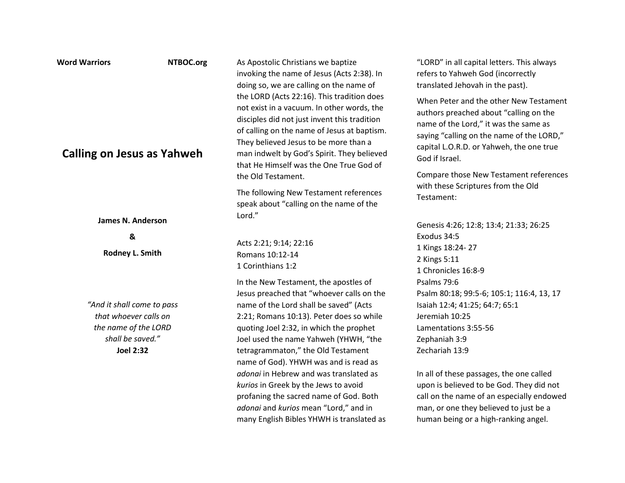| As Apostolic Christians we baptize<br>invoking the name of Jesus (Acts 2:38). In<br>doing so, we are calling on the name of                                                                                                                                                                                                                                                                                                                                                                                      | "LORD" in all capital letters. This always<br>refers to Yahweh God (incorrectly<br>translated Jehovah in the past).                                                                                                                                                                                                                                                                            |
|------------------------------------------------------------------------------------------------------------------------------------------------------------------------------------------------------------------------------------------------------------------------------------------------------------------------------------------------------------------------------------------------------------------------------------------------------------------------------------------------------------------|------------------------------------------------------------------------------------------------------------------------------------------------------------------------------------------------------------------------------------------------------------------------------------------------------------------------------------------------------------------------------------------------|
| the LORD (Acts 22:16). This tradition does<br>not exist in a vacuum. In other words, the<br>disciples did not just invent this tradition<br>of calling on the name of Jesus at baptism.<br>They believed Jesus to be more than a<br>man indwelt by God's Spirit. They believed<br>that He Himself was the One True God of                                                                                                                                                                                        | When Peter and the other New Testament<br>authors preached about "calling on the<br>name of the Lord," it was the same as<br>saying "calling on the name of the LORD,"<br>capital L.O.R.D. or Yahweh, the one true<br>God if Israel.                                                                                                                                                           |
| the Old Testament.<br>The following New Testament references                                                                                                                                                                                                                                                                                                                                                                                                                                                     | Compare those New Testament references<br>with these Scriptures from the Old<br>Testament:                                                                                                                                                                                                                                                                                                     |
| Lord."                                                                                                                                                                                                                                                                                                                                                                                                                                                                                                           | Genesis 4:26; 12:8; 13:4; 21:33; 26:25                                                                                                                                                                                                                                                                                                                                                         |
| Acts 2:21; 9:14; 22:16<br>Romans 10:12-14<br>1 Corinthians 1:2                                                                                                                                                                                                                                                                                                                                                                                                                                                   | Exodus 34:5<br>1 Kings 18:24-27<br>2 Kings 5:11<br>1 Chronicles 16:8-9                                                                                                                                                                                                                                                                                                                         |
| In the New Testament, the apostles of<br>Jesus preached that "whoever calls on the<br>name of the Lord shall be saved" (Acts<br>2:21; Romans 10:13). Peter does so while<br>quoting Joel 2:32, in which the prophet<br>Joel used the name Yahweh (YHWH, "the<br>tetragrammaton," the Old Testament<br>name of God). YHWH was and is read as<br>adonai in Hebrew and was translated as<br>kurios in Greek by the Jews to avoid<br>profaning the sacred name of God. Both<br>adonai and kurios mean "Lord," and in | Psalms 79:6<br>Psalm 80:18; 99:5-6; 105:1; 116:4, 13, 17<br>Isaiah 12:4; 41:25; 64:7; 65:1<br>Jeremiah 10:25<br>Lamentations 3:55-56<br>Zephaniah 3:9<br>Zechariah 13:9<br>In all of these passages, the one called<br>upon is believed to be God. They did not<br>call on the name of an especially endowed<br>man, or one they believed to just be a<br>human being or a high-ranking angel. |
|                                                                                                                                                                                                                                                                                                                                                                                                                                                                                                                  | speak about "calling on the name of the<br>many English Bibles YHWH is translated as                                                                                                                                                                                                                                                                                                           |